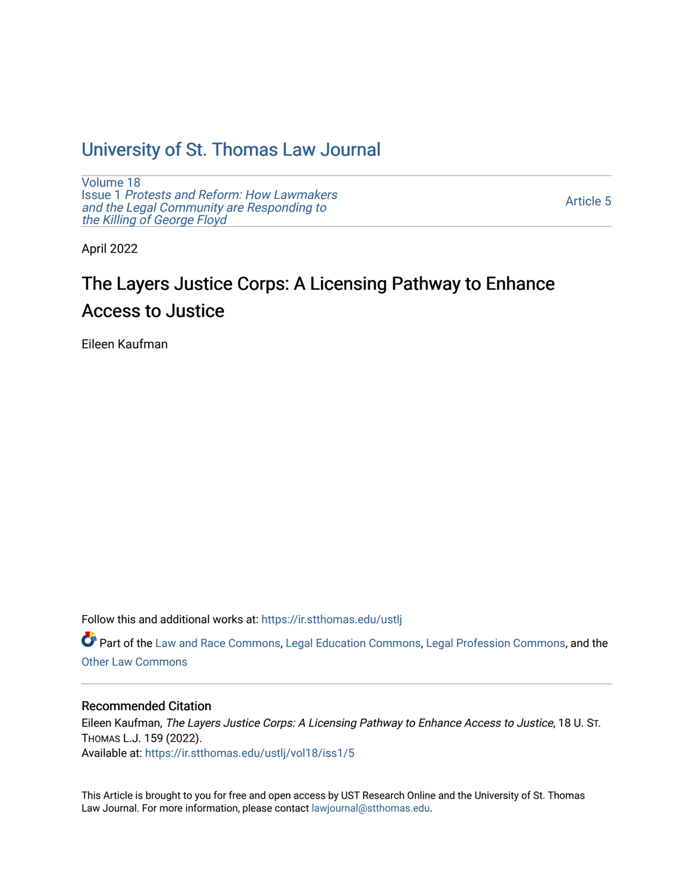### [University of St. Thomas Law Journal](https://ir.stthomas.edu/ustlj)

[Volume 18](https://ir.stthomas.edu/ustlj/vol18) Issue 1 [Protests and Reform: How Lawmakers](https://ir.stthomas.edu/ustlj/vol18/iss1)  [and the Legal Community are Responding to](https://ir.stthomas.edu/ustlj/vol18/iss1) [the Killing of George Floyd](https://ir.stthomas.edu/ustlj/vol18/iss1) 

[Article 5](https://ir.stthomas.edu/ustlj/vol18/iss1/5) 

April 2022

# The Layers Justice Corps: A Licensing Pathway to Enhance Access to Justice

Eileen Kaufman

Follow this and additional works at: [https://ir.stthomas.edu/ustlj](https://ir.stthomas.edu/ustlj?utm_source=ir.stthomas.edu%2Fustlj%2Fvol18%2Fiss1%2F5&utm_medium=PDF&utm_campaign=PDFCoverPages)

Part of the [Law and Race Commons,](http://network.bepress.com/hgg/discipline/1300?utm_source=ir.stthomas.edu%2Fustlj%2Fvol18%2Fiss1%2F5&utm_medium=PDF&utm_campaign=PDFCoverPages) [Legal Education Commons,](http://network.bepress.com/hgg/discipline/857?utm_source=ir.stthomas.edu%2Fustlj%2Fvol18%2Fiss1%2F5&utm_medium=PDF&utm_campaign=PDFCoverPages) [Legal Profession Commons](http://network.bepress.com/hgg/discipline/1075?utm_source=ir.stthomas.edu%2Fustlj%2Fvol18%2Fiss1%2F5&utm_medium=PDF&utm_campaign=PDFCoverPages), and the [Other Law Commons](http://network.bepress.com/hgg/discipline/621?utm_source=ir.stthomas.edu%2Fustlj%2Fvol18%2Fiss1%2F5&utm_medium=PDF&utm_campaign=PDFCoverPages) 

#### Recommended Citation

Eileen Kaufman, The Layers Justice Corps: A Licensing Pathway to Enhance Access to Justice, 18 U. ST. THOMAS L.J. 159 (2022). Available at: [https://ir.stthomas.edu/ustlj/vol18/iss1/5](https://ir.stthomas.edu/ustlj/vol18/iss1/5?utm_source=ir.stthomas.edu%2Fustlj%2Fvol18%2Fiss1%2F5&utm_medium=PDF&utm_campaign=PDFCoverPages)

This Article is brought to you for free and open access by UST Research Online and the University of St. Thomas Law Journal. For more information, please contact [lawjournal@stthomas.edu.](mailto:lawjournal@stthomas.edu)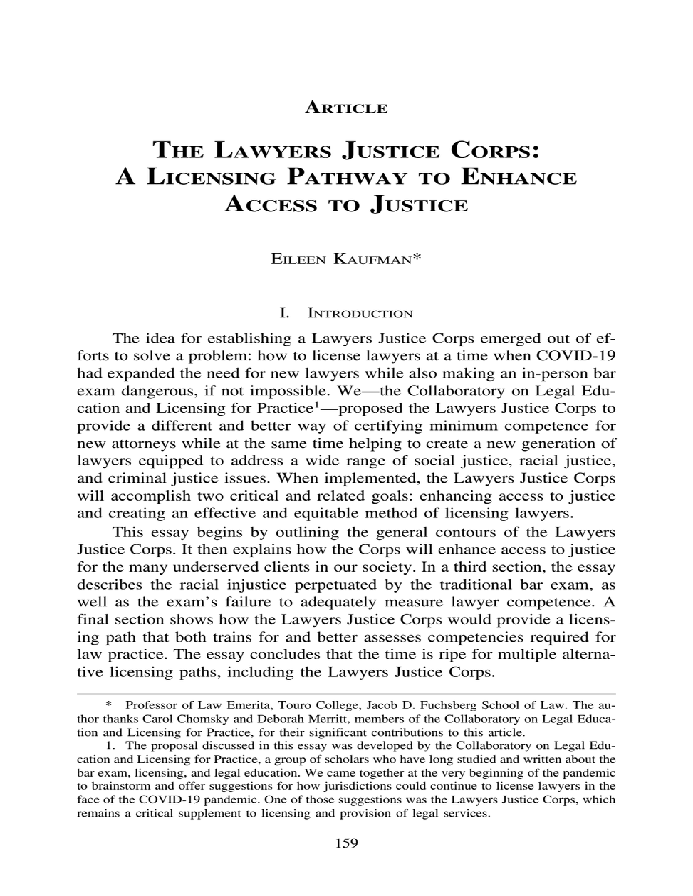#### **ARTICLE**

## **THE LAWYERS JUSTICE CORPS: A LICENSING PATHWAY TO ENHANCE ACCESS TO JUSTICE**

EILEEN KAUFMAN\*

#### I. INTRODUCTION

The idea for establishing a Lawyers Justice Corps emerged out of efforts to solve a problem: how to license lawyers at a time when COVID-19 had expanded the need for new lawyers while also making an in-person bar exam dangerous, if not impossible. We—the Collaboratory on Legal Education and Licensing for Practice<sup>1</sup>—proposed the Lawyers Justice Corps to provide a different and better way of certifying minimum competence for new attorneys while at the same time helping to create a new generation of lawyers equipped to address a wide range of social justice, racial justice, and criminal justice issues. When implemented, the Lawyers Justice Corps will accomplish two critical and related goals: enhancing access to justice and creating an effective and equitable method of licensing lawyers.

This essay begins by outlining the general contours of the Lawyers Justice Corps. It then explains how the Corps will enhance access to justice for the many underserved clients in our society. In a third section, the essay describes the racial injustice perpetuated by the traditional bar exam, as well as the exam's failure to adequately measure lawyer competence. A final section shows how the Lawyers Justice Corps would provide a licensing path that both trains for and better assesses competencies required for law practice. The essay concludes that the time is ripe for multiple alternative licensing paths, including the Lawyers Justice Corps.

<sup>\*</sup> Professor of Law Emerita, Touro College, Jacob D. Fuchsberg School of Law. The author thanks Carol Chomsky and Deborah Merritt, members of the Collaboratory on Legal Education and Licensing for Practice, for their significant contributions to this article.

<sup>1.</sup> The proposal discussed in this essay was developed by the Collaboratory on Legal Education and Licensing for Practice, a group of scholars who have long studied and written about the bar exam, licensing, and legal education. We came together at the very beginning of the pandemic to brainstorm and offer suggestions for how jurisdictions could continue to license lawyers in the face of the COVID-19 pandemic. One of those suggestions was the Lawyers Justice Corps, which remains a critical supplement to licensing and provision of legal services.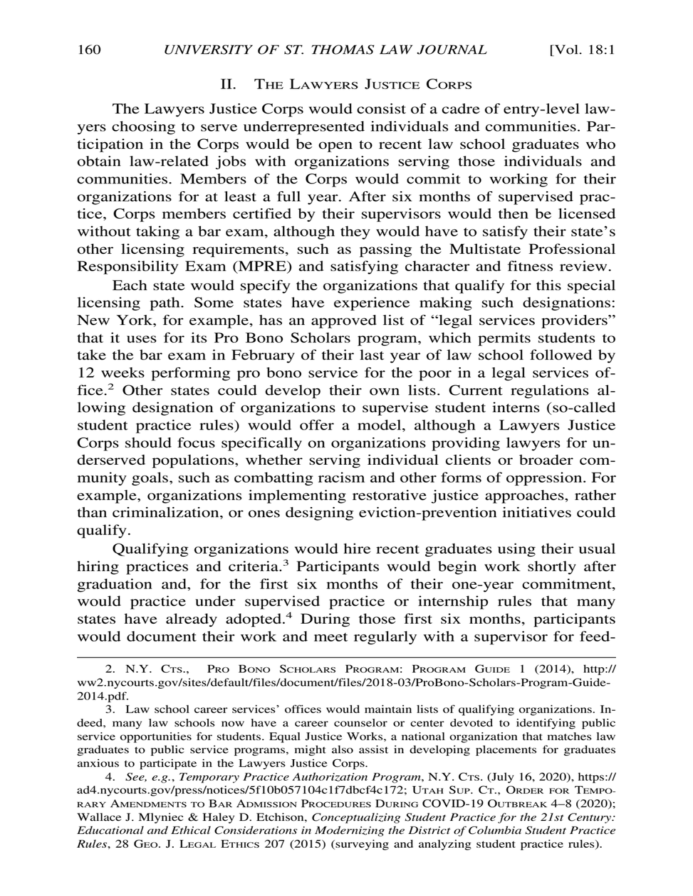#### II. THE LAWYERS JUSTICE CORPS

The Lawyers Justice Corps would consist of a cadre of entry-level lawyers choosing to serve underrepresented individuals and communities. Participation in the Corps would be open to recent law school graduates who obtain law-related jobs with organizations serving those individuals and communities. Members of the Corps would commit to working for their organizations for at least a full year. After six months of supervised practice, Corps members certified by their supervisors would then be licensed without taking a bar exam, although they would have to satisfy their state's other licensing requirements, such as passing the Multistate Professional Responsibility Exam (MPRE) and satisfying character and fitness review.

Each state would specify the organizations that qualify for this special licensing path. Some states have experience making such designations: New York, for example, has an approved list of "legal services providers" that it uses for its Pro Bono Scholars program, which permits students to take the bar exam in February of their last year of law school followed by 12 weeks performing pro bono service for the poor in a legal services office.2 Other states could develop their own lists. Current regulations allowing designation of organizations to supervise student interns (so-called student practice rules) would offer a model, although a Lawyers Justice Corps should focus specifically on organizations providing lawyers for underserved populations, whether serving individual clients or broader community goals, such as combatting racism and other forms of oppression. For example, organizations implementing restorative justice approaches, rather than criminalization, or ones designing eviction-prevention initiatives could qualify.

Qualifying organizations would hire recent graduates using their usual hiring practices and criteria.<sup>3</sup> Participants would begin work shortly after graduation and, for the first six months of their one-year commitment, would practice under supervised practice or internship rules that many states have already adopted.<sup>4</sup> During those first six months, participants would document their work and meet regularly with a supervisor for feed-

<sup>2.</sup> N.Y. CTS., PRO BONO SCHOLARS PROGRAM: PROGRAM GUIDE 1 (2014), http:// ww2.nycourts.gov/sites/default/files/document/files/2018-03/ProBono-Scholars-Program-Guide-2014.pdf.

<sup>3.</sup> Law school career services' offices would maintain lists of qualifying organizations. Indeed, many law schools now have a career counselor or center devoted to identifying public service opportunities for students. Equal Justice Works, a national organization that matches law graduates to public service programs, might also assist in developing placements for graduates anxious to participate in the Lawyers Justice Corps.

<sup>4.</sup> *See, e.g.*, *Temporary Practice Authorization Program*, N.Y. CTS. (July 16, 2020), https:// ad4.nycourts.gov/press/notices/5f10b057104c1f7dbcf4c172; UTAH SUP. CT., ORDER FOR TEMPO-RARY AMENDMENTS TO BAR ADMISSION PROCEDURES DURING COVID-19 OUTBREAK 4–8 (2020); Wallace J. Mlyniec & Haley D. Etchison, *Conceptualizing Student Practice for the 21st Century: Educational and Ethical Considerations in Modernizing the District of Columbia Student Practice Rules*, 28 GEO. J. LEGAL ETHICS 207 (2015) (surveying and analyzing student practice rules).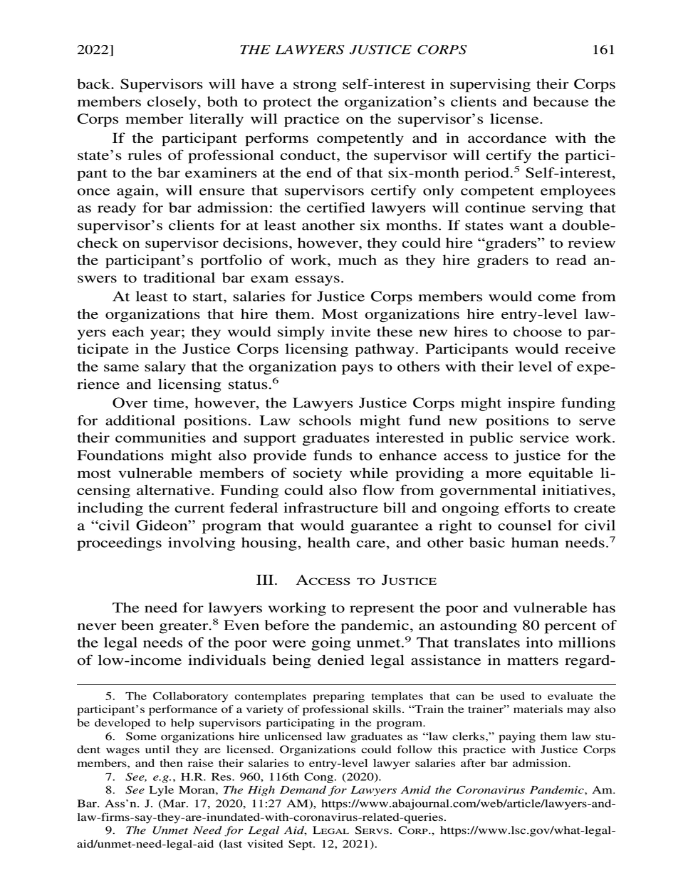back. Supervisors will have a strong self-interest in supervising their Corps members closely, both to protect the organization's clients and because the Corps member literally will practice on the supervisor's license.

If the participant performs competently and in accordance with the state's rules of professional conduct, the supervisor will certify the participant to the bar examiners at the end of that six-month period.<sup>5</sup> Self-interest, once again, will ensure that supervisors certify only competent employees as ready for bar admission: the certified lawyers will continue serving that supervisor's clients for at least another six months. If states want a doublecheck on supervisor decisions, however, they could hire "graders" to review the participant's portfolio of work, much as they hire graders to read answers to traditional bar exam essays.

At least to start, salaries for Justice Corps members would come from the organizations that hire them. Most organizations hire entry-level lawyers each year; they would simply invite these new hires to choose to participate in the Justice Corps licensing pathway. Participants would receive the same salary that the organization pays to others with their level of experience and licensing status.<sup>6</sup>

Over time, however, the Lawyers Justice Corps might inspire funding for additional positions. Law schools might fund new positions to serve their communities and support graduates interested in public service work. Foundations might also provide funds to enhance access to justice for the most vulnerable members of society while providing a more equitable licensing alternative. Funding could also flow from governmental initiatives, including the current federal infrastructure bill and ongoing efforts to create a "civil Gideon" program that would guarantee a right to counsel for civil proceedings involving housing, health care, and other basic human needs.<sup>7</sup>

#### III. ACCESS TO JUSTICE

The need for lawyers working to represent the poor and vulnerable has never been greater.<sup>8</sup> Even before the pandemic, an astounding 80 percent of the legal needs of the poor were going unmet.<sup>9</sup> That translates into millions of low-income individuals being denied legal assistance in matters regard-

<sup>5.</sup> The Collaboratory contemplates preparing templates that can be used to evaluate the participant's performance of a variety of professional skills. "Train the trainer" materials may also be developed to help supervisors participating in the program.

<sup>6.</sup> Some organizations hire unlicensed law graduates as "law clerks," paying them law student wages until they are licensed. Organizations could follow this practice with Justice Corps members, and then raise their salaries to entry-level lawyer salaries after bar admission.

<sup>7.</sup> *See, e.g.*, H.R. Res. 960, 116th Cong. (2020).

<sup>8.</sup> *See* Lyle Moran, *The High Demand for Lawyers Amid the Coronavirus Pandemic*, Am. Bar. Ass'n. J. (Mar. 17, 2020, 11:27 AM), https://www.abajournal.com/web/article/lawyers-andlaw-firms-say-they-are-inundated-with-coronavirus-related-queries.

<sup>9.</sup> *The Unmet Need for Legal Aid*, LEGAL SERVS. CORP., https://www.lsc.gov/what-legalaid/unmet-need-legal-aid (last visited Sept. 12, 2021).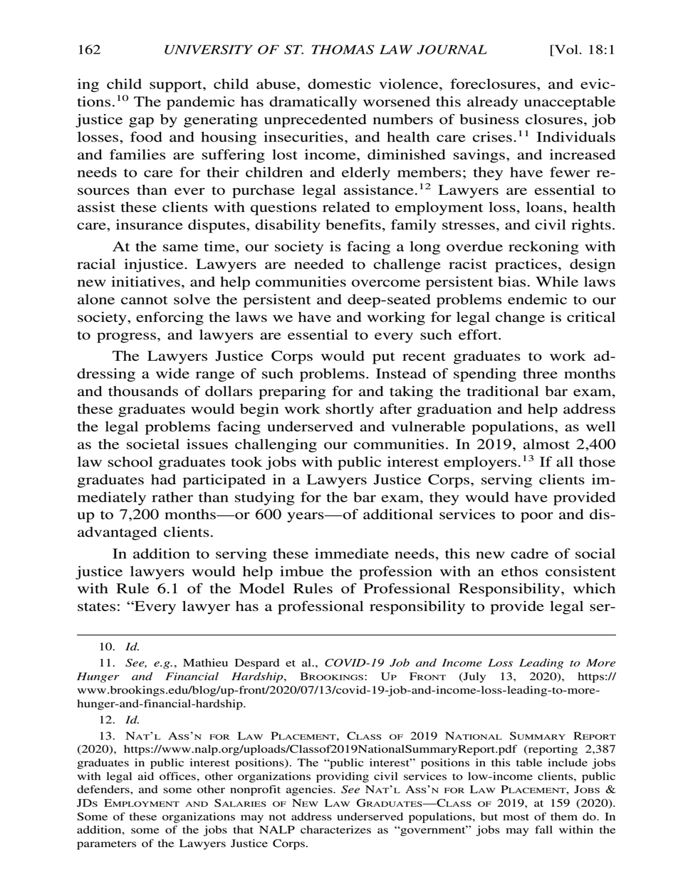ing child support, child abuse, domestic violence, foreclosures, and evictions.10 The pandemic has dramatically worsened this already unacceptable justice gap by generating unprecedented numbers of business closures, job losses, food and housing insecurities, and health care crises.<sup>11</sup> Individuals and families are suffering lost income, diminished savings, and increased needs to care for their children and elderly members; they have fewer resources than ever to purchase legal assistance.<sup>12</sup> Lawyers are essential to assist these clients with questions related to employment loss, loans, health care, insurance disputes, disability benefits, family stresses, and civil rights.

At the same time, our society is facing a long overdue reckoning with racial injustice. Lawyers are needed to challenge racist practices, design new initiatives, and help communities overcome persistent bias. While laws alone cannot solve the persistent and deep-seated problems endemic to our society, enforcing the laws we have and working for legal change is critical to progress, and lawyers are essential to every such effort.

The Lawyers Justice Corps would put recent graduates to work addressing a wide range of such problems. Instead of spending three months and thousands of dollars preparing for and taking the traditional bar exam, these graduates would begin work shortly after graduation and help address the legal problems facing underserved and vulnerable populations, as well as the societal issues challenging our communities. In 2019, almost 2,400 law school graduates took jobs with public interest employers.<sup>13</sup> If all those graduates had participated in a Lawyers Justice Corps, serving clients immediately rather than studying for the bar exam, they would have provided up to 7,200 months—or 600 years—of additional services to poor and disadvantaged clients.

In addition to serving these immediate needs, this new cadre of social justice lawyers would help imbue the profession with an ethos consistent with Rule 6.1 of the Model Rules of Professional Responsibility, which states: "Every lawyer has a professional responsibility to provide legal ser-

12. *Id.*

<sup>10.</sup> *Id.*

<sup>11.</sup> *See, e.g.*, Mathieu Despard et al., *COVID-19 Job and Income Loss Leading to More Hunger and Financial Hardship*, BROOKINGS: UP FRONT (July 13, 2020), https:// www.brookings.edu/blog/up-front/2020/07/13/covid-19-job-and-income-loss-leading-to-morehunger-and-financial-hardship.

<sup>13.</sup> NAT'L ASS'N FOR LAW PLACEMENT, CLASS OF 2019 NATIONAL SUMMARY REPORT (2020), https://www.nalp.org/uploads/Classof2019NationalSummaryReport.pdf (reporting 2,387 graduates in public interest positions). The "public interest" positions in this table include jobs with legal aid offices, other organizations providing civil services to low-income clients, public defenders, and some other nonprofit agencies. See NAT'L Ass'N FOR LAW PLACEMENT, JOBS & JDS EMPLOYMENT AND SALARIES OF NEW LAW GRADUATES—CLASS OF 2019, at 159 (2020). Some of these organizations may not address underserved populations, but most of them do. In addition, some of the jobs that NALP characterizes as "government" jobs may fall within the parameters of the Lawyers Justice Corps.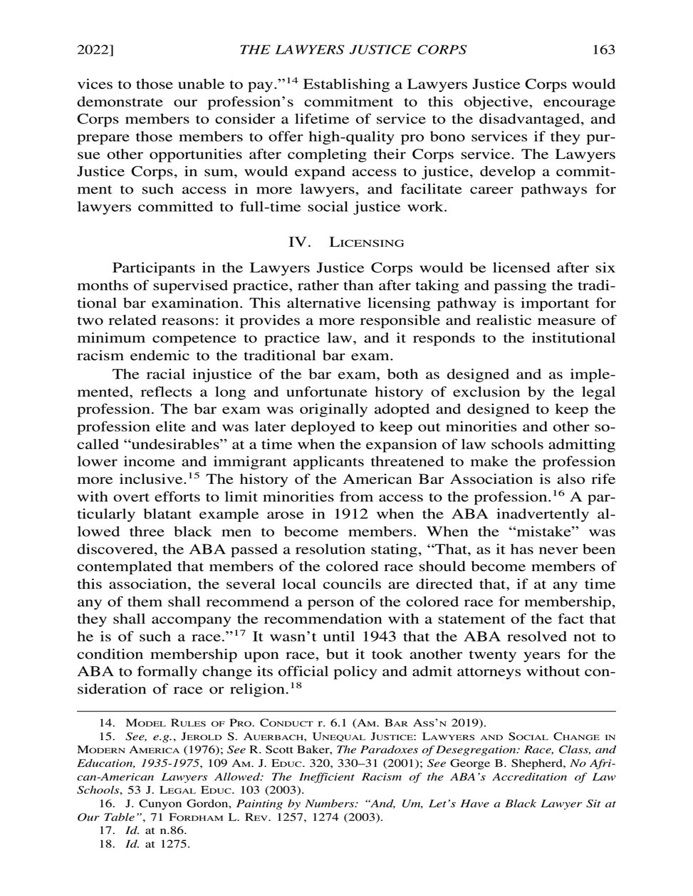vices to those unable to pay."14 Establishing a Lawyers Justice Corps would demonstrate our profession's commitment to this objective, encourage Corps members to consider a lifetime of service to the disadvantaged, and prepare those members to offer high-quality pro bono services if they pursue other opportunities after completing their Corps service. The Lawyers Justice Corps, in sum, would expand access to justice, develop a commitment to such access in more lawyers, and facilitate career pathways for lawyers committed to full-time social justice work.

#### IV. LICENSING

Participants in the Lawyers Justice Corps would be licensed after six months of supervised practice, rather than after taking and passing the traditional bar examination. This alternative licensing pathway is important for two related reasons: it provides a more responsible and realistic measure of minimum competence to practice law, and it responds to the institutional racism endemic to the traditional bar exam.

The racial injustice of the bar exam, both as designed and as implemented, reflects a long and unfortunate history of exclusion by the legal profession. The bar exam was originally adopted and designed to keep the profession elite and was later deployed to keep out minorities and other socalled "undesirables" at a time when the expansion of law schools admitting lower income and immigrant applicants threatened to make the profession more inclusive.15 The history of the American Bar Association is also rife with overt efforts to limit minorities from access to the profession.<sup>16</sup> A particularly blatant example arose in 1912 when the ABA inadvertently allowed three black men to become members. When the "mistake" was discovered, the ABA passed a resolution stating, "That, as it has never been contemplated that members of the colored race should become members of this association, the several local councils are directed that, if at any time any of them shall recommend a person of the colored race for membership, they shall accompany the recommendation with a statement of the fact that he is of such a race."17 It wasn't until 1943 that the ABA resolved not to condition membership upon race, but it took another twenty years for the ABA to formally change its official policy and admit attorneys without consideration of race or religion.<sup>18</sup>

<sup>14.</sup> MODEL RULES OF PRO. CONDUCT r. 6.1 (AM. BAR ASS'N 2019).

<sup>15.</sup> *See, e.g.*, JEROLD S. AUERBACH, UNEQUAL JUSTICE: LAWYERS AND SOCIAL CHANGE IN MODERN AMERICA (1976); *See* R. Scott Baker, *The Paradoxes of Desegregation: Race, Class, and Education, 1935-1975*, 109 AM. J. EDUC. 320, 330–31 (2001); *See* George B. Shepherd, *No African-American Lawyers Allowed: The Inefficient Racism of the ABA's Accreditation of Law Schools*, 53 J. LEGAL EDUC. 103 (2003).

<sup>16.</sup> J. Cunyon Gordon, *Painting by Numbers: "And, Um, Let's Have a Black Lawyer Sit at Our Table"*, 71 FORDHAM L. REV. 1257, 1274 (2003).

<sup>17.</sup> *Id.* at n.86.

<sup>18.</sup> *Id.* at 1275.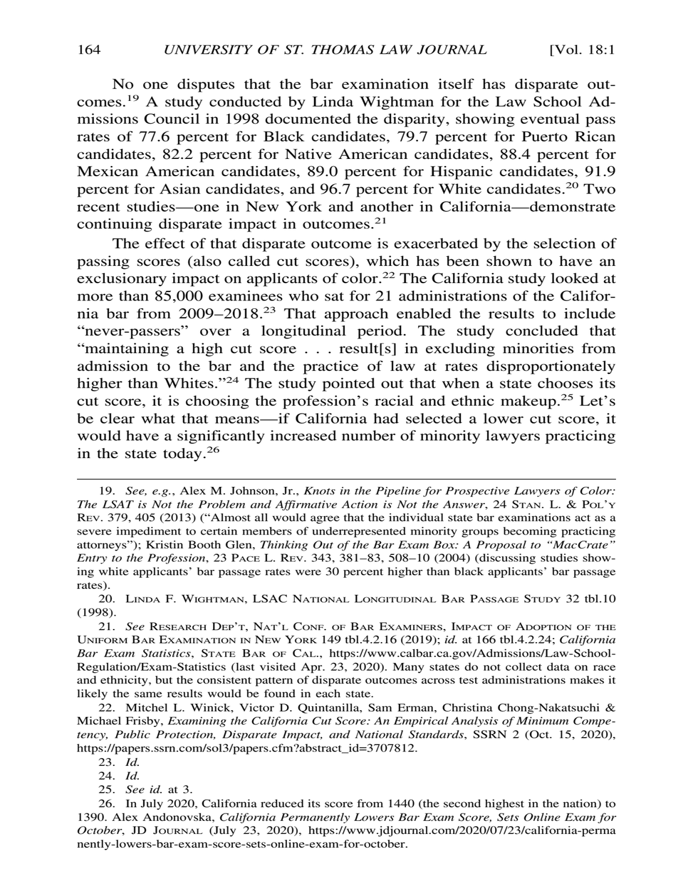No one disputes that the bar examination itself has disparate outcomes.19 A study conducted by Linda Wightman for the Law School Admissions Council in 1998 documented the disparity, showing eventual pass rates of 77.6 percent for Black candidates, 79.7 percent for Puerto Rican candidates, 82.2 percent for Native American candidates, 88.4 percent for Mexican American candidates, 89.0 percent for Hispanic candidates, 91.9 percent for Asian candidates, and 96.7 percent for White candidates.<sup>20</sup> Two recent studies—one in New York and another in California—demonstrate continuing disparate impact in outcomes.<sup>21</sup>

The effect of that disparate outcome is exacerbated by the selection of passing scores (also called cut scores), which has been shown to have an exclusionary impact on applicants of color.<sup>22</sup> The California study looked at more than 85,000 examinees who sat for 21 administrations of the California bar from 2009–2018.23 That approach enabled the results to include "never-passers" over a longitudinal period. The study concluded that "maintaining a high cut score . . . result[s] in excluding minorities from admission to the bar and the practice of law at rates disproportionately higher than Whites."<sup>24</sup> The study pointed out that when a state chooses its cut score, it is choosing the profession's racial and ethnic makeup.<sup>25</sup> Let's be clear what that means—if California had selected a lower cut score, it would have a significantly increased number of minority lawyers practicing in the state today. $26$ 

25. *See id.* at 3.

<sup>19.</sup> *See, e.g.*, Alex M. Johnson, Jr., *Knots in the Pipeline for Prospective Lawyers of Color: The LSAT is Not the Problem and Affirmative Action is Not the Answer*, 24 STAN. L. & POL'Y REV. 379, 405 (2013) ("Almost all would agree that the individual state bar examinations act as a severe impediment to certain members of underrepresented minority groups becoming practicing attorneys"); Kristin Booth Glen, *Thinking Out of the Bar Exam Box: A Proposal to "MacCrate" Entry to the Profession*, 23 PACE L. REV. 343, 381–83, 508–10 (2004) (discussing studies showing white applicants' bar passage rates were 30 percent higher than black applicants' bar passage rates).

<sup>20.</sup> LINDA F. WIGHTMAN, LSAC NATIONAL LONGITUDINAL BAR PASSAGE STUDY 32 tbl.10 (1998).

<sup>21.</sup> *See* RESEARCH DEP'T, NAT'L CONF. OF BAR EXAMINERS, IMPACT OF ADOPTION OF THE UNIFORM BAR EXAMINATION IN NEW YORK 149 tbl.4.2.16 (2019); *id.* at 166 tbl.4.2.24; *California Bar Exam Statistics*, STATE BAR OF CAL., https://www.calbar.ca.gov/Admissions/Law-School-Regulation/Exam-Statistics (last visited Apr. 23, 2020). Many states do not collect data on race and ethnicity, but the consistent pattern of disparate outcomes across test administrations makes it likely the same results would be found in each state.

<sup>22.</sup> Mitchel L. Winick, Victor D. Quintanilla, Sam Erman, Christina Chong-Nakatsuchi & Michael Frisby, *Examining the California Cut Score: An Empirical Analysis of Minimum Competency, Public Protection, Disparate Impact, and National Standards*, SSRN 2 (Oct. 15, 2020), https://papers.ssrn.com/sol3/papers.cfm?abstract\_id=3707812.

<sup>23.</sup> *Id.*

<sup>24.</sup> *Id.*

<sup>26.</sup> In July 2020, California reduced its score from 1440 (the second highest in the nation) to 1390. Alex Andonovska, *California Permanently Lowers Bar Exam Score, Sets Online Exam for October*, JD JOURNAL (July 23, 2020), https://www.jdjournal.com/2020/07/23/california-perma nently-lowers-bar-exam-score-sets-online-exam-for-october.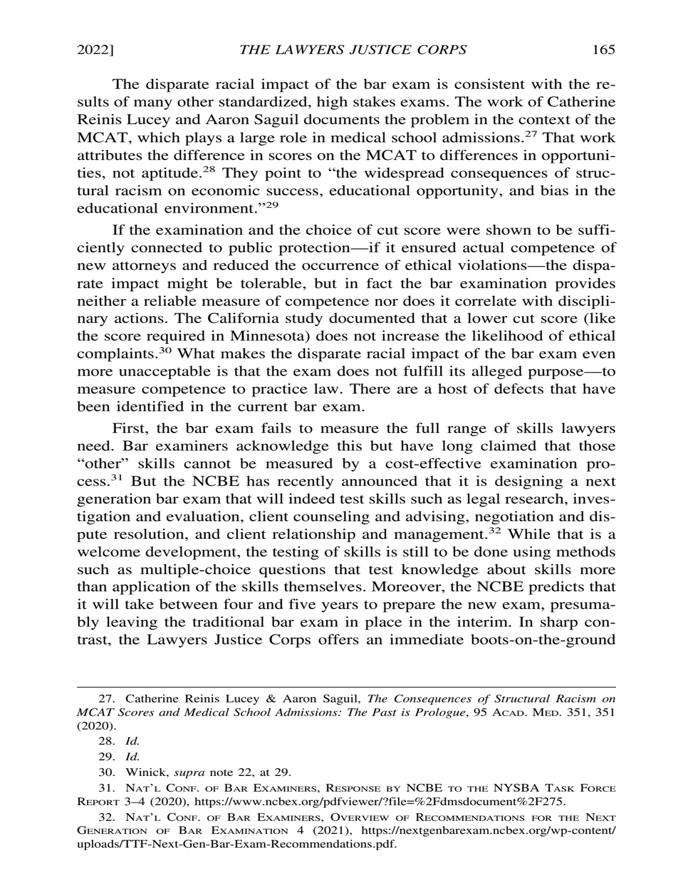The disparate racial impact of the bar exam is consistent with the results of many other standardized, high stakes exams. The work of Catherine Reinis Lucey and Aaron Saguil documents the problem in the context of the MCAT, which plays a large role in medical school admissions.<sup>27</sup> That work attributes the difference in scores on the MCAT to differences in opportunities, not aptitude.<sup>28</sup> They point to "the widespread consequences of structural racism on economic success, educational opportunity, and bias in the educational environment."<sup>29</sup>

If the examination and the choice of cut score were shown to be sufficiently connected to public protection—if it ensured actual competence of new attorneys and reduced the occurrence of ethical violations—the disparate impact might be tolerable, but in fact the bar examination provides neither a reliable measure of competence nor does it correlate with disciplinary actions. The California study documented that a lower cut score (like the score required in Minnesota) does not increase the likelihood of ethical complaints.30 What makes the disparate racial impact of the bar exam even more unacceptable is that the exam does not fulfill its alleged purpose—to measure competence to practice law. There are a host of defects that have been identified in the current bar exam.

First, the bar exam fails to measure the full range of skills lawyers need. Bar examiners acknowledge this but have long claimed that those "other" skills cannot be measured by a cost-effective examination process.31 But the NCBE has recently announced that it is designing a next generation bar exam that will indeed test skills such as legal research, investigation and evaluation, client counseling and advising, negotiation and dispute resolution, and client relationship and management.<sup>32</sup> While that is a welcome development, the testing of skills is still to be done using methods such as multiple-choice questions that test knowledge about skills more than application of the skills themselves. Moreover, the NCBE predicts that it will take between four and five years to prepare the new exam, presumably leaving the traditional bar exam in place in the interim. In sharp contrast, the Lawyers Justice Corps offers an immediate boots-on-the-ground

<sup>27.</sup> Catherine Reinis Lucey & Aaron Saguil, *The Consequences of Structural Racism on MCAT Scores and Medical School Admissions: The Past is Prologue*, 95 ACAD. MED. 351, 351 (2020).

<sup>28.</sup> *Id.*

<sup>29.</sup> *Id.*

<sup>30.</sup> Winick, *supra* note 22, at 29.

<sup>31.</sup> NAT'L CONF. OF BAR EXAMINERS, RESPONSE BY NCBE TO THE NYSBA TASK FORCE REPORT 3–4 (2020), https://www.ncbex.org/pdfviewer/?file=%2Fdmsdocument%2F275.

<sup>32.</sup> NAT'L CONF. OF BAR EXAMINERS, OVERVIEW OF RECOMMENDATIONS FOR THE NEXT GENERATION OF BAR EXAMINATION 4 (2021), https://nextgenbarexam.ncbex.org/wp-content/ uploads/TTF-Next-Gen-Bar-Exam-Recommendations.pdf.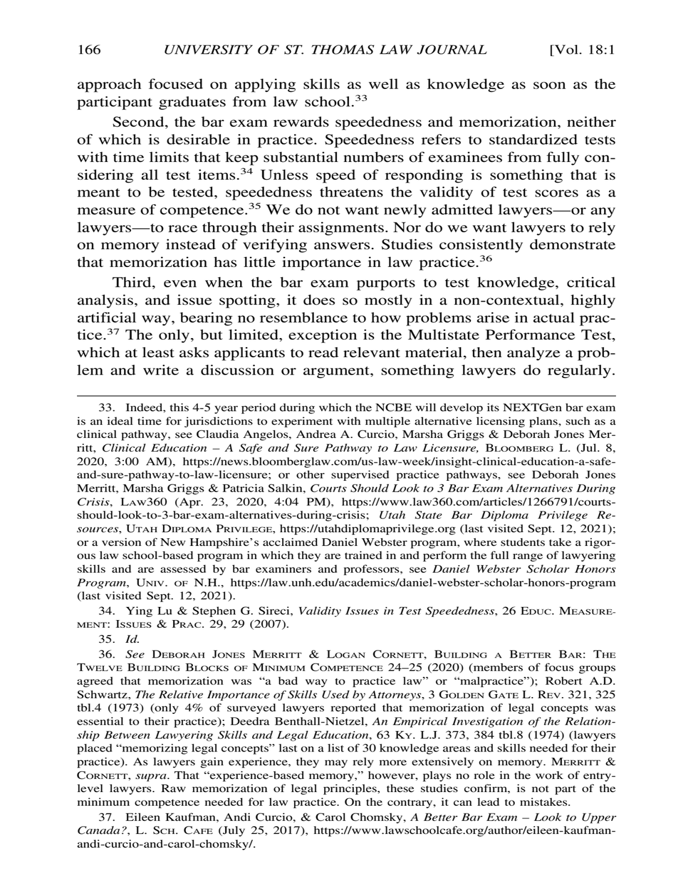approach focused on applying skills as well as knowledge as soon as the participant graduates from law school.<sup>33</sup>

Second, the bar exam rewards speededness and memorization, neither of which is desirable in practice. Speededness refers to standardized tests with time limits that keep substantial numbers of examinees from fully considering all test items.<sup>34</sup> Unless speed of responding is something that is meant to be tested, speededness threatens the validity of test scores as a measure of competence.<sup>35</sup> We do not want newly admitted lawyers—or any lawyers—to race through their assignments. Nor do we want lawyers to rely on memory instead of verifying answers. Studies consistently demonstrate that memorization has little importance in law practice.<sup>36</sup>

Third, even when the bar exam purports to test knowledge, critical analysis, and issue spotting, it does so mostly in a non-contextual, highly artificial way, bearing no resemblance to how problems arise in actual practice.37 The only, but limited, exception is the Multistate Performance Test, which at least asks applicants to read relevant material, then analyze a problem and write a discussion or argument, something lawyers do regularly.

34. Ying Lu & Stephen G. Sireci, *Validity Issues in Test Speededness*, 26 EDUC. MEASURE-MENT: ISSUES & PRAC. 29, 29 (2007).

35. *Id.*

37. Eileen Kaufman, Andi Curcio, & Carol Chomsky, *A Better Bar Exam – Look to Upper Canada?*, L. SCH. CAFE (July 25, 2017), https://www.lawschoolcafe.org/author/eileen-kaufmanandi-curcio-and-carol-chomsky/.

<sup>33.</sup> Indeed, this 4-5 year period during which the NCBE will develop its NEXTGen bar exam is an ideal time for jurisdictions to experiment with multiple alternative licensing plans, such as a clinical pathway, see Claudia Angelos, Andrea A. Curcio, Marsha Griggs & Deborah Jones Merritt, *Clinical Education – A Safe and Sure Pathway to Law Licensure*, BLOOMBERG L. (Jul. 8, 2020, 3:00 AM), https://news.bloomberglaw.com/us-law-week/insight-clinical-education-a-safeand-sure-pathway-to-law-licensure; or other supervised practice pathways, see Deborah Jones Merritt, Marsha Griggs & Patricia Salkin, *Courts Should Look to 3 Bar Exam Alternatives During Crisis*, LAW360 (Apr. 23, 2020, 4:04 PM), https://www.law360.com/articles/1266791/courtsshould-look-to-3-bar-exam-alternatives-during-crisis; *Utah State Bar Diploma Privilege Resources*, UTAH DIPLOMA PRIVILEGE, https://utahdiplomaprivilege.org (last visited Sept. 12, 2021); or a version of New Hampshire's acclaimed Daniel Webster program, where students take a rigorous law school-based program in which they are trained in and perform the full range of lawyering skills and are assessed by bar examiners and professors, see *Daniel Webster Scholar Honors Program*, UNIV. OF N.H., https://law.unh.edu/academics/daniel-webster-scholar-honors-program (last visited Sept. 12, 2021).

<sup>36.</sup> *See* DEBORAH JONES MERRITT & LOGAN CORNETT, BUILDING A BETTER BAR: THE TWELVE BUILDING BLOCKS OF MINIMUM COMPETENCE 24–25 (2020) (members of focus groups agreed that memorization was "a bad way to practice law" or "malpractice"); Robert A.D. Schwartz, *The Relative Importance of Skills Used by Attorneys*, 3 GOLDEN GATE L. REV. 321, 325 tbl.4 (1973) (only 4% of surveyed lawyers reported that memorization of legal concepts was essential to their practice); Deedra Benthall-Nietzel, *An Empirical Investigation of the Relationship Between Lawyering Skills and Legal Education*, 63 KY. L.J. 373, 384 tbl.8 (1974) (lawyers placed "memorizing legal concepts" last on a list of 30 knowledge areas and skills needed for their practice). As lawyers gain experience, they may rely more extensively on memory. MERRITT  $\&$ CORNETT, *supra*. That "experience-based memory," however, plays no role in the work of entrylevel lawyers. Raw memorization of legal principles, these studies confirm, is not part of the minimum competence needed for law practice. On the contrary, it can lead to mistakes.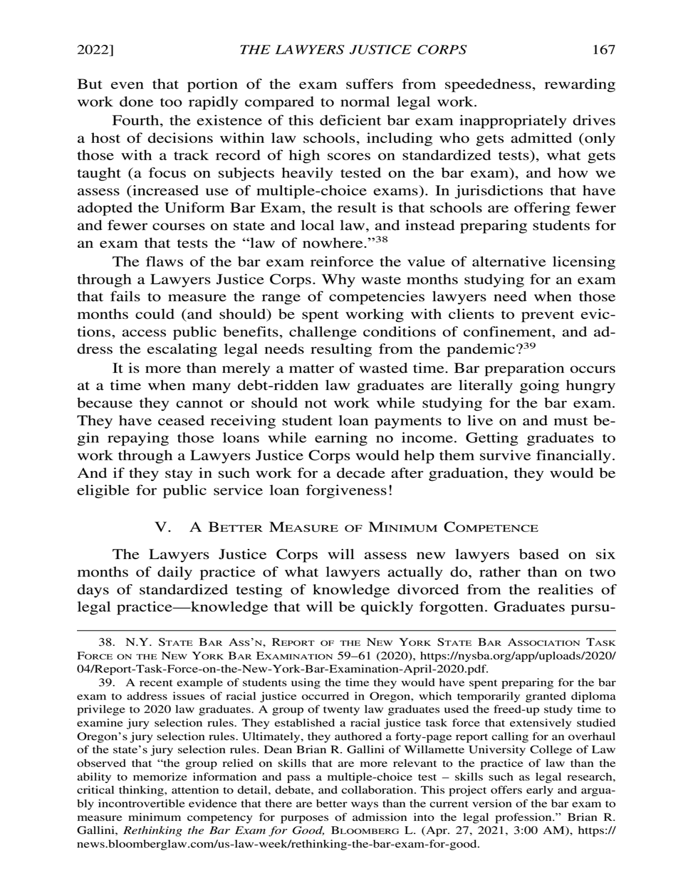But even that portion of the exam suffers from speededness, rewarding work done too rapidly compared to normal legal work.

Fourth, the existence of this deficient bar exam inappropriately drives a host of decisions within law schools, including who gets admitted (only those with a track record of high scores on standardized tests), what gets taught (a focus on subjects heavily tested on the bar exam), and how we assess (increased use of multiple-choice exams). In jurisdictions that have adopted the Uniform Bar Exam, the result is that schools are offering fewer and fewer courses on state and local law, and instead preparing students for an exam that tests the "law of nowhere."<sup>38</sup>

The flaws of the bar exam reinforce the value of alternative licensing through a Lawyers Justice Corps. Why waste months studying for an exam that fails to measure the range of competencies lawyers need when those months could (and should) be spent working with clients to prevent evictions, access public benefits, challenge conditions of confinement, and address the escalating legal needs resulting from the pandemic?<sup>39</sup>

It is more than merely a matter of wasted time. Bar preparation occurs at a time when many debt-ridden law graduates are literally going hungry because they cannot or should not work while studying for the bar exam. They have ceased receiving student loan payments to live on and must begin repaying those loans while earning no income. Getting graduates to work through a Lawyers Justice Corps would help them survive financially. And if they stay in such work for a decade after graduation, they would be eligible for public service loan forgiveness!

#### V. A BETTER MEASURE OF MINIMUM COMPETENCE

The Lawyers Justice Corps will assess new lawyers based on six months of daily practice of what lawyers actually do, rather than on two days of standardized testing of knowledge divorced from the realities of legal practice—knowledge that will be quickly forgotten. Graduates pursu-

<sup>38.</sup> N.Y. STATE BAR ASS'N, REPORT OF THE NEW YORK STATE BAR ASSOCIATION TASK FORCE ON THE NEW YORK BAR EXAMINATION 59–61 (2020), https://nysba.org/app/uploads/2020/ 04/Report-Task-Force-on-the-New-York-Bar-Examination-April-2020.pdf.

<sup>39.</sup> A recent example of students using the time they would have spent preparing for the bar exam to address issues of racial justice occurred in Oregon, which temporarily granted diploma privilege to 2020 law graduates. A group of twenty law graduates used the freed-up study time to examine jury selection rules. They established a racial justice task force that extensively studied Oregon's jury selection rules. Ultimately, they authored a forty-page report calling for an overhaul of the state's jury selection rules. Dean Brian R. Gallini of Willamette University College of Law observed that "the group relied on skills that are more relevant to the practice of law than the ability to memorize information and pass a multiple-choice test – skills such as legal research, critical thinking, attention to detail, debate, and collaboration. This project offers early and arguably incontrovertible evidence that there are better ways than the current version of the bar exam to measure minimum competency for purposes of admission into the legal profession." Brian R. Gallini, *Rethinking the Bar Exam for Good,* BLOOMBERG L. (Apr. 27, 2021, 3:00 AM), https:// news.bloomberglaw.com/us-law-week/rethinking-the-bar-exam-for-good.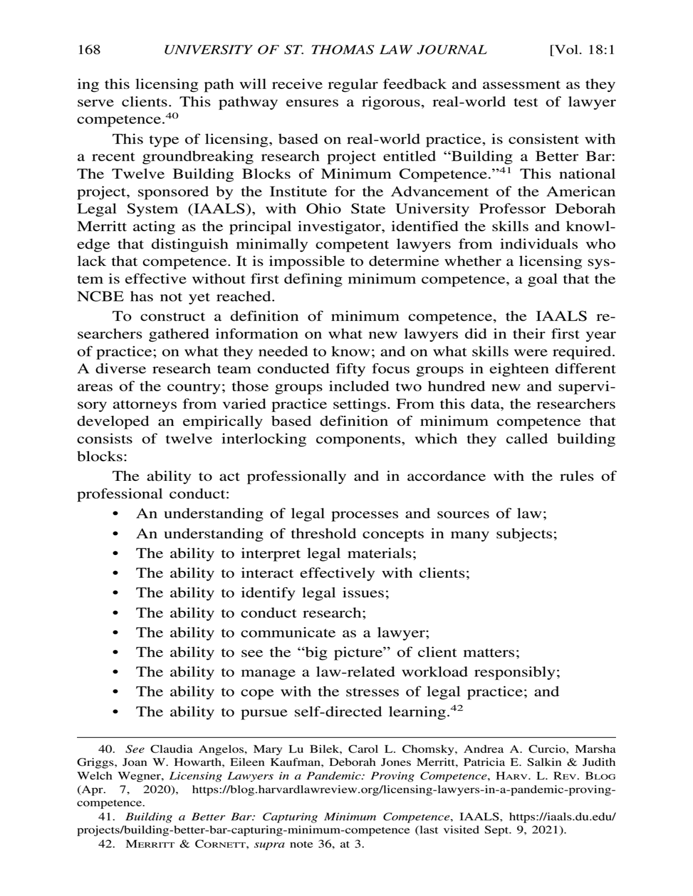ing this licensing path will receive regular feedback and assessment as they serve clients. This pathway ensures a rigorous, real-world test of lawyer competence.<sup>40</sup>

This type of licensing, based on real-world practice, is consistent with a recent groundbreaking research project entitled "Building a Better Bar: The Twelve Building Blocks of Minimum Competence."<sup>41</sup> This national project, sponsored by the Institute for the Advancement of the American Legal System (IAALS), with Ohio State University Professor Deborah Merritt acting as the principal investigator, identified the skills and knowledge that distinguish minimally competent lawyers from individuals who lack that competence. It is impossible to determine whether a licensing system is effective without first defining minimum competence, a goal that the NCBE has not yet reached.

To construct a definition of minimum competence, the IAALS researchers gathered information on what new lawyers did in their first year of practice; on what they needed to know; and on what skills were required. A diverse research team conducted fifty focus groups in eighteen different areas of the country; those groups included two hundred new and supervisory attorneys from varied practice settings. From this data, the researchers developed an empirically based definition of minimum competence that consists of twelve interlocking components, which they called building blocks:

The ability to act professionally and in accordance with the rules of professional conduct:

- An understanding of legal processes and sources of law;
- An understanding of threshold concepts in many subjects;
- The ability to interpret legal materials;
- The ability to interact effectively with clients;
- The ability to identify legal issues;
- The ability to conduct research;
- The ability to communicate as a lawyer;
- The ability to see the "big picture" of client matters;
- The ability to manage a law-related workload responsibly;
- The ability to cope with the stresses of legal practice; and
- The ability to pursue self-directed learning.<sup>42</sup>

<sup>40.</sup> *See* Claudia Angelos, Mary Lu Bilek, Carol L. Chomsky, Andrea A. Curcio, Marsha Griggs, Joan W. Howarth, Eileen Kaufman, Deborah Jones Merritt, Patricia E. Salkin & Judith Welch Wegner, *Licensing Lawyers in a Pandemic: Proving Competence*, HARV. L. REV. BLOG (Apr. 7, 2020), https://blog.harvardlawreview.org/licensing-lawyers-in-a-pandemic-provingcompetence.

<sup>41.</sup> *Building a Better Bar: Capturing Minimum Competence*, IAALS, https://iaals.du.edu/ projects/building-better-bar-capturing-minimum-competence (last visited Sept. 9, 2021).

<sup>42.</sup> MERRITT & CORNETT, *supra* note 36, at 3.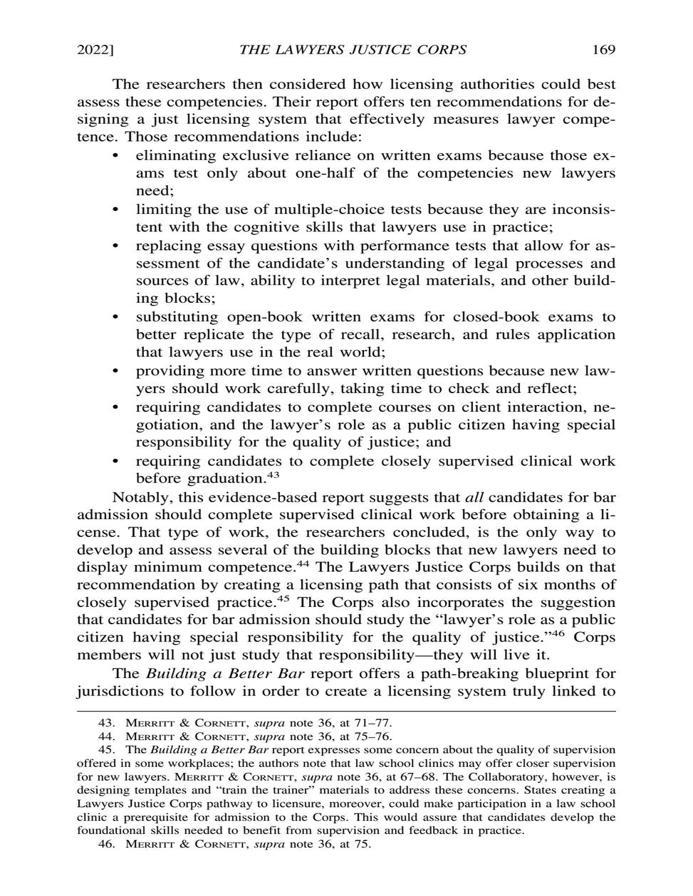The researchers then considered how licensing authorities could best assess these competencies. Their report offers ten recommendations for designing a just licensing system that effectively measures lawyer competence. Those recommendations include:

- eliminating exclusive reliance on written exams because those exams test only about one-half of the competencies new lawyers need;
- limiting the use of multiple-choice tests because they are inconsistent with the cognitive skills that lawyers use in practice;
- replacing essay questions with performance tests that allow for assessment of the candidate's understanding of legal processes and sources of law, ability to interpret legal materials, and other building blocks;
- substituting open-book written exams for closed-book exams to better replicate the type of recall, research, and rules application that lawyers use in the real world;
- providing more time to answer written questions because new lawyers should work carefully, taking time to check and reflect;
- requiring candidates to complete courses on client interaction, negotiation, and the lawyer's role as a public citizen having special responsibility for the quality of justice; and
- requiring candidates to complete closely supervised clinical work before graduation.<sup>43</sup>

Notably, this evidence-based report suggests that *all* candidates for bar admission should complete supervised clinical work before obtaining a license. That type of work, the researchers concluded, is the only way to develop and assess several of the building blocks that new lawyers need to display minimum competence.<sup>44</sup> The Lawyers Justice Corps builds on that recommendation by creating a licensing path that consists of six months of closely supervised practice.45 The Corps also incorporates the suggestion that candidates for bar admission should study the "lawyer's role as a public citizen having special responsibility for the quality of justice."46 Corps members will not just study that responsibility—they will live it.

The *Building a Better Bar* report offers a path-breaking blueprint for jurisdictions to follow in order to create a licensing system truly linked to

<sup>43.</sup> MERRITT & CORNETT, *supra* note 36, at 71–77.

<sup>44.</sup> MERRITT & CORNETT, *supra* note 36, at 75–76.

<sup>45.</sup> The *Building a Better Bar* report expresses some concern about the quality of supervision offered in some workplaces; the authors note that law school clinics may offer closer supervision for new lawyers. MERRITT & CORNETT, *supra* note 36, at 67–68. The Collaboratory, however, is designing templates and "train the trainer" materials to address these concerns. States creating a Lawyers Justice Corps pathway to licensure, moreover, could make participation in a law school clinic a prerequisite for admission to the Corps. This would assure that candidates develop the foundational skills needed to benefit from supervision and feedback in practice.

<sup>46.</sup> MERRITT & CORNETT, *supra* note 36, at 75.